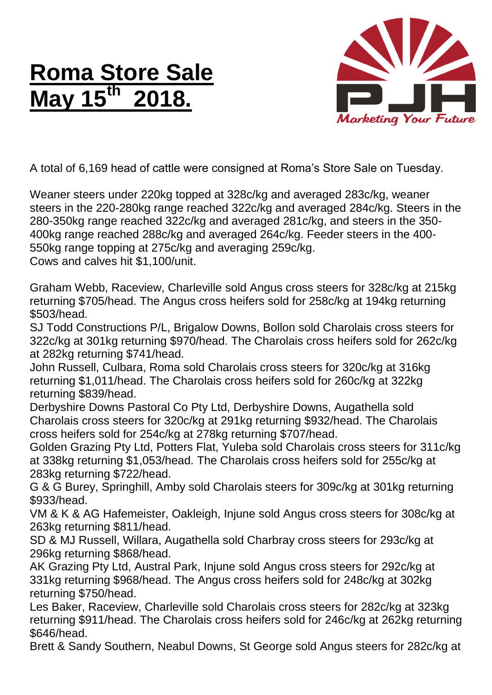## **Roma Store Sale May 15th 2018.**



A total of 6,169 head of cattle were consigned at Roma's Store Sale on Tuesday.

Weaner steers under 220kg topped at 328c/kg and averaged 283c/kg, weaner steers in the 220-280kg range reached 322c/kg and averaged 284c/kg. Steers in the 280-350kg range reached 322c/kg and averaged 281c/kg, and steers in the 350- 400kg range reached 288c/kg and averaged 264c/kg. Feeder steers in the 400- 550kg range topping at 275c/kg and averaging 259c/kg. Cows and calves hit \$1,100/unit.

Graham Webb, Raceview, Charleville sold Angus cross steers for 328c/kg at 215kg returning \$705/head. The Angus cross heifers sold for 258c/kg at 194kg returning \$503/head.

SJ Todd Constructions P/L, Brigalow Downs, Bollon sold Charolais cross steers for 322c/kg at 301kg returning \$970/head. The Charolais cross heifers sold for 262c/kg at 282kg returning \$741/head.

John Russell, Culbara, Roma sold Charolais cross steers for 320c/kg at 316kg returning \$1,011/head. The Charolais cross heifers sold for 260c/kg at 322kg returning \$839/head.

Derbyshire Downs Pastoral Co Pty Ltd, Derbyshire Downs, Augathella sold Charolais cross steers for 320c/kg at 291kg returning \$932/head. The Charolais cross heifers sold for 254c/kg at 278kg returning \$707/head.

Golden Grazing Pty Ltd, Potters Flat, Yuleba sold Charolais cross steers for 311c/kg at 338kg returning \$1,053/head. The Charolais cross heifers sold for 255c/kg at 283kg returning \$722/head.

G & G Burey, Springhill, Amby sold Charolais steers for 309c/kg at 301kg returning \$933/head.

VM & K & AG Hafemeister, Oakleigh, Injune sold Angus cross steers for 308c/kg at 263kg returning \$811/head.

SD & MJ Russell, Willara, Augathella sold Charbray cross steers for 293c/kg at 296kg returning \$868/head.

AK Grazing Pty Ltd, Austral Park, Injune sold Angus cross steers for 292c/kg at 331kg returning \$968/head. The Angus cross heifers sold for 248c/kg at 302kg returning \$750/head.

Les Baker, Raceview, Charleville sold Charolais cross steers for 282c/kg at 323kg returning \$911/head. The Charolais cross heifers sold for 246c/kg at 262kg returning \$646/head.

Brett & Sandy Southern, Neabul Downs, St George sold Angus steers for 282c/kg at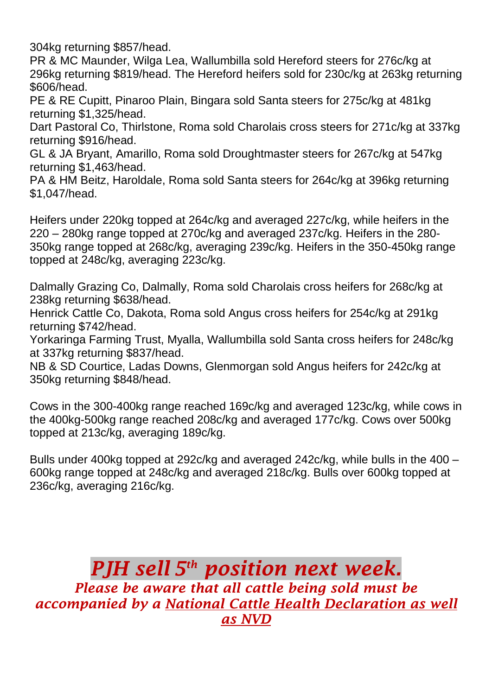304kg returning \$857/head.

PR & MC Maunder, Wilga Lea, Wallumbilla sold Hereford steers for 276c/kg at 296kg returning \$819/head. The Hereford heifers sold for 230c/kg at 263kg returning \$606/head.

PE & RE Cupitt, Pinaroo Plain, Bingara sold Santa steers for 275c/kg at 481kg returning \$1,325/head.

Dart Pastoral Co, Thirlstone, Roma sold Charolais cross steers for 271c/kg at 337kg returning \$916/head.

GL & JA Bryant, Amarillo, Roma sold Droughtmaster steers for 267c/kg at 547kg returning \$1,463/head.

PA & HM Beitz, Haroldale, Roma sold Santa steers for 264c/kg at 396kg returning \$1,047/head.

Heifers under 220kg topped at 264c/kg and averaged 227c/kg, while heifers in the 220 – 280kg range topped at 270c/kg and averaged 237c/kg. Heifers in the 280- 350kg range topped at 268c/kg, averaging 239c/kg. Heifers in the 350-450kg range topped at 248c/kg, averaging 223c/kg.

Dalmally Grazing Co, Dalmally, Roma sold Charolais cross heifers for 268c/kg at 238kg returning \$638/head.

Henrick Cattle Co, Dakota, Roma sold Angus cross heifers for 254c/kg at 291kg returning \$742/head.

Yorkaringa Farming Trust, Myalla, Wallumbilla sold Santa cross heifers for 248c/kg at 337kg returning \$837/head.

NB & SD Courtice, Ladas Downs, Glenmorgan sold Angus heifers for 242c/kg at 350kg returning \$848/head.

Cows in the 300-400kg range reached 169c/kg and averaged 123c/kg, while cows in the 400kg-500kg range reached 208c/kg and averaged 177c/kg. Cows over 500kg topped at 213c/kg, averaging 189c/kg.

Bulls under 400kg topped at 292c/kg and averaged 242c/kg, while bulls in the 400 – 600kg range topped at 248c/kg and averaged 218c/kg. Bulls over 600kg topped at 236c/kg, averaging 216c/kg.

*PJH sell 5 th position next week. Please be aware that all cattle being sold must be accompanied by a National Cattle Health Declaration as well as NVD*